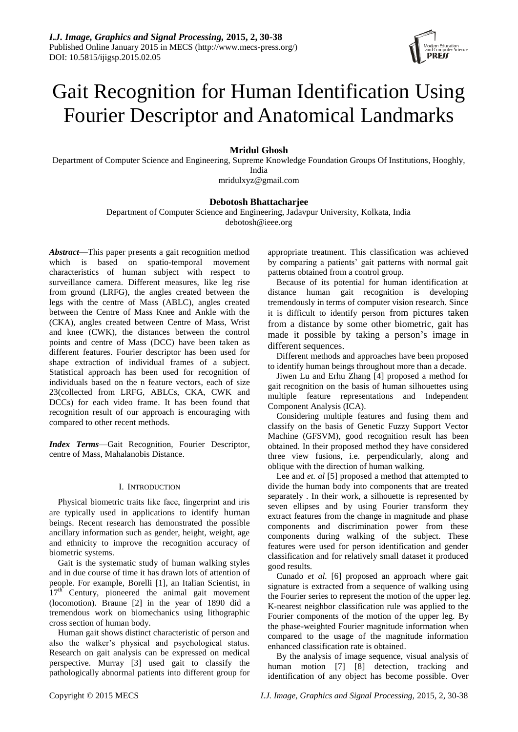

# Gait Recognition for Human Identification Using Fourier Descriptor and Anatomical Landmarks

# **Mridul Ghosh**

Department of Computer Science and Engineering, Supreme Knowledge Foundation Groups Of Institutions, Hooghly, India

mridulxyz@gmail.com

# **Debotosh Bhattacharjee**

Department of Computer Science and Engineering, Jadavpur University, Kolkata, India debotosh@ieee.org

*Abstract*—This paper presents a gait recognition method which is based on spatio-temporal movement characteristics of human subject with respect to surveillance camera. Different measures, like leg rise from ground (LRFG), the angles created between the legs with the centre of Mass (ABLC), angles created between the Centre of Mass Knee and Ankle with the (CKA), angles created between Centre of Mass, Wrist and knee (CWK), the distances between the control points and centre of Mass (DCC) have been taken as different features. Fourier descriptor has been used for shape extraction of individual frames of a subject. Statistical approach has been used for recognition of individuals based on the n feature vectors, each of size 23(collected from LRFG, ABLCs, CKA, CWK and DCCs) for each video frame. It has been found that recognition result of our approach is encouraging with compared to other recent methods.

*Index Terms*—Gait Recognition, Fourier Descriptor, centre of Mass, Mahalanobis Distance.

## I. INTRODUCTION

Physical biometric traits like face, fingerprint and iris are typically used in applications to identify human beings. Recent research has demonstrated the possible ancillary information such as gender, height, weight, age and ethnicity to improve the recognition accuracy of biometric systems.

Gait is the systematic study of human walking styles and in due course of time it has drawn lots of attention of people. For example, Borelli [1], an Italian Scientist, in  $17<sup>th</sup>$  Century, pioneered the animal gait movement (locomotion). Braune [2] in the year of 1890 did a tremendous work on biomechanics using lithographic cross section of human body.

Human gait shows distinct characteristic of person and also the walker's physical and psychological status. Research on gait analysis can be expressed on medical perspective. Murray [3] used gait to classify the pathologically abnormal patients into different group for appropriate treatment. This classification was achieved by comparing a patients' gait patterns with normal gait patterns obtained from a control group.

Because of its potential for human identification at distance human gait recognition is developing tremendously in terms of computer vision research. Since it is difficult to identify person from pictures taken from a distance by some other biometric, gait has made it possible by taking a person's image in different sequences.

Different methods and approaches have been proposed to identify human beings throughout more than a decade.

Jiwen Lu and Erhu Zhang [4] proposed a method for gait recognition on the basis of human silhouettes using multiple feature representations and Independent Component Analysis (ICA).

Considering multiple features and fusing them and classify on the basis of Genetic Fuzzy Support Vector Machine (GFSVM), good recognition result has been obtained. In their proposed method they have considered three view fusions, i.e. perpendicularly, along and oblique with the direction of human walking.

Lee and *et. al* [5] proposed a method that attempted to divide the human body into components that are treated separately . In their work, a silhouette is represented by seven ellipses and by using Fourier transform they extract features from the change in magnitude and phase components and discrimination power from these components during walking of the subject. These features were used for person identification and gender classification and for relatively small dataset it produced good results.

Cunado *et al.* [6] proposed an approach where gait signature is extracted from a sequence of walking using the Fourier series to represent the motion of the upper leg. K-nearest neighbor classification rule was applied to the Fourier components of the motion of the upper leg. By the phase-weighted Fourier magnitude information when compared to the usage of the magnitude information enhanced classification rate is obtained.

By the analysis of image sequence, visual analysis of human motion [7] [8] detection, tracking and identification of any object has become possible. Over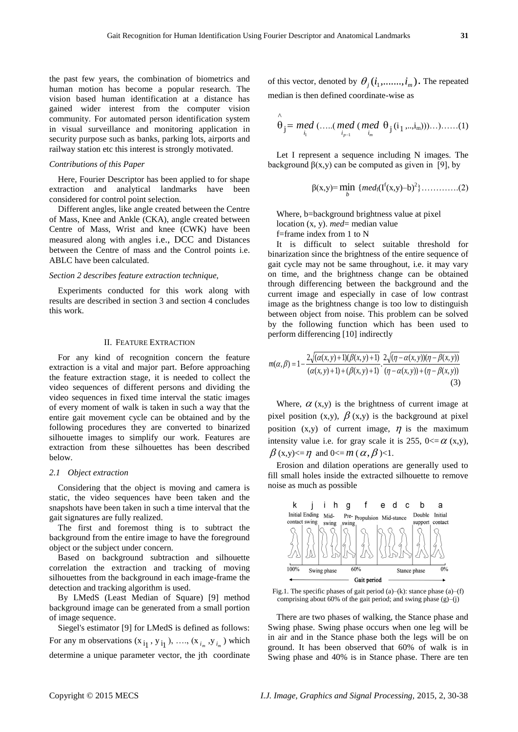the past few years, the combination of biometrics and human motion has become a popular research. The vision based human identification at a distance has gained wider interest from the computer vision community. For automated person identification system in visual surveillance and monitoring application in security purpose such as banks, parking lots, airports and railway station etc this interest is strongly motivated.

## *Contributions of this Paper*

Here, Fourier Descriptor has been applied to for shape extraction and analytical landmarks have been considered for control point selection.

Different angles, like angle created between the Centre of Mass, Knee and Ankle (CKA), angle created between Centre of Mass, Wrist and knee (CWK) have been measured along with angles i.e., DCC and Distances between the Centre of mass and the Control points i.e. ABLC have been calculated.

#### *Section 2 describes feature extraction technique,*

Experiments conducted for this work along with results are described in section 3 and section 4 concludes this work.

#### II. FEATURE EXTRACTION

For any kind of recognition concern the feature extraction is a vital and major part. Before approaching the feature extraction stage, it is needed to collect the video sequences of different persons and dividing the video sequences in fixed time interval the static images of every moment of walk is taken in such a way that the entire gait movement cycle can be obtained and by the following procedures they are converted to binarized silhouette images to simplify our work. Features are extraction from these silhouettes has been described below.

### *2.1 Object extraction*

Considering that the object is moving and camera is static, the video sequences have been taken and the snapshots have been taken in such a time interval that the gait signatures are fully realized.

The first and foremost thing is to subtract the background from the entire image to have the foreground object or the subject under concern.

Based on background subtraction and silhouette correlation the extraction and tracking of moving silhouettes from the background in each image-frame the detection and tracking algorithm is used.

By LMedS (Least Median of Square) [9] method background image can be generated from a small portion of image sequence.

Siegel's estimator [9] for LMedS is defined as follows: For any m observations  $(x_{i_1}, y_{i_1}), \ldots, (x_{i_m}, y_{i_m})$  which determine a unique parameter vector, the jth coordinate

of this vector, denoted by  $\theta_j$  ( $i_1$ ,......,  $i_m$ ). The repeated median is then defined coordinate-wise as

$$
\hat{\theta}_{j} = med (....(med (med \theta_{j} (i_{1} ... i_{m})))...)(1)
$$

Let I represent a sequence including N images. The background  $\beta(x,y)$  can be computed as given in [9], by

β(x,y)= *b* min {*med*f(I<sup>f</sup> (x,y)–b)<sup>2</sup> }………….(2)

Where, b=background brightness value at pixel location (x, y). *med*= median value f=frame index from 1 to N

It is difficult to select suitable threshold for binarization since the brightness of the entire sequence of gait cycle may not be same throughout, i.e. it may vary on time, and the brightness change can be obtained through differencing between the background and the current image and especially in case of low contrast image as the brightness change is too low to distinguish between object from noise. This problem can be solved by the following function which has been used to perform differencing [10] indirectly

$$
m(\alpha, \beta) = 1 - \frac{2\sqrt{(\alpha(x, y) + 1)(\beta(x, y) + 1)}}{(\alpha(x, y) + 1) + (\beta(x, y) + 1)} \cdot \frac{2\sqrt{(\eta - \alpha(x, y))(\eta - \beta(x, y))}}{(\eta - \alpha(x, y)) + (\eta - \beta(x, y))}
$$
(3)

Where,  $\alpha$  (x,y) is the brightness of current image at pixel position  $(x,y)$ ,  $\beta(x,y)$  is the background at pixel position  $(x,y)$  of current image,  $\eta$  is the maximum intensity value i.e. for gray scale it is 255,  $0 \le \alpha$  (x,y),  $\beta$  (x,y) <=  $\eta$  and 0 <=  $m$  ( $\alpha$ , $\beta$ ) <1.

Erosion and dilation operations are generally used to fill small holes inside the extracted silhouette to remove noise as much as possible





There are two phases of walking, the Stance phase and Swing phase. Swing phase occurs when one leg will be in air and in the Stance phase both the legs will be on ground. It has been observed that 60% of walk is in Swing phase and 40% is in Stance phase. There are ten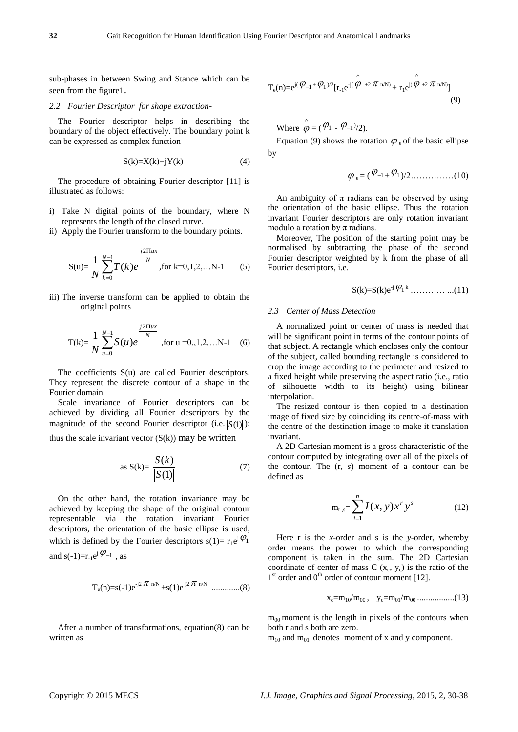sub-phases in between Swing and Stance which can be seen from the figure1.

#### *2.2 Fourier Descriptor for shape extraction-*

The Fourier descriptor helps in describing the boundary of the object effectively. The boundary point k can be expressed as complex function

$$
S(k)=X(k)+jY(k) \tag{4}
$$

The procedure of obtaining Fourier descriptor [11] is illustrated as follows:

- i) Take N digital points of the boundary, where N represents the length of the closed curve.
- ii) Apply the Fourier transform to the boundary points.

$$
S(u) = \frac{1}{N} \sum_{k=0}^{N-1} T(k)e^{-\frac{j2\pi lux}{N}}
$$
, for k=0,1,2,... N-1 (5)

iii) The inverse transform can be applied to obtain the original points

$$
T(k) = \frac{1}{N} \sum_{u=0}^{N-1} S(u)e^{-\frac{j2\pi ux}{N}}
$$
, for  $u = 0, 1, 2, ... N-1$  (6)

The coefficients S(u) are called Fourier descriptors. They represent the discrete contour of a shape in the Fourier domain.

Scale invariance of Fourier descriptors can be achieved by dividing all Fourier descriptors by the magnitude of the second Fourier descriptor (i.e.  $|S(1)|$ );

thus the scale invariant vector  $(S(k))$  may be written

as S(k)=
$$
\frac{S(k)}{|S(1)|}
$$
 (7)

On the other hand, the rotation invariance may be achieved by keeping the shape of the original contour representable via the rotation invariant Fourier descriptors, the orientation of the basic ellipse is used, which is defined by the Fourier descriptors  $s(1) = r_1 e^{j\phi}$ and  $s(-1)=r_{-1}e^{j\phi}-1$ , as

$$
T_e(n)=s(-1)e^{-j2\pi n/N}+s(1)e^{j2\pi n/N} \dots \dots \dots \dots (8)
$$

After a number of transformations, equation(8) can be written as

$$
T_e(n) = e^{j(\phi_{-1} + \phi_1)^2} [r_{\cdot 1} e^{-j(\phi_{-1} + \phi_{-1})} + r_1 e^{j(\phi_{-1} + \phi_{-1} + \phi_{-1})}] \tag{9}
$$

Where  $\wedge$  $\varphi = ( \varphi_1 - \varphi_{-1} / 2 ).$ 

Equation (9) shows the rotation  $\varphi$ <sub>e</sub> of the basic ellipse by

$$
\varphi_{e} = (\varphi_{-1} + \varphi_1) / 2 \dots \dots \dots \dots \dots (10)
$$

An ambiguity of  $\pi$  radians can be observed by using the orientation of the basic ellipse. Thus the rotation invariant Fourier descriptors are only rotation invariant modulo a rotation by  $\pi$  radians.

Moreover, The position of the starting point may be normalised by subtracting the phase of the second Fourier descriptor weighted by k from the phase of all Fourier descriptors, i.e.

$$
S(k)=S(k)e^{-j\phi_1 k}
$$
 ............(11)

#### *2.3 Center of Mass Detection*

A normalized point or center of mass is needed that will be significant point in terms of the contour points of that subject. A rectangle which encloses only the contour of the subject, called bounding rectangle is considered to crop the image according to the perimeter and resized to a fixed height while preserving the aspect ratio (i.e., ratio of silhouette width to its height) using bilinear interpolation.

The resized contour is then copied to a destination image of fixed size by coinciding its centre-of-mass with the centre of the destination image to make it translation invariant.

A 2D Cartesian moment is a gross characteristic of the contour computed by integrating over all of the pixels of the contour. The (r*, s*) moment of a contour can be defined as

$$
m_{r,s} = \sum_{i=1}^{n} I(x, y) x^{r} y^{s}
$$
 (12)

Here r is the *x*-order and s is the *y*-order, whereby order means the power to which the corresponding component is taken in the sum. The 2D Cartesian coordinate of center of mass  $C(x_c, y_c)$  is the ratio of the  $1<sup>st</sup>$  order and  $0<sup>th</sup>$  order of contour moment [12].

$$
x_c = m_{10}/m_{00}, \quad y_c = m_{01}/m_{00} \dots \dots \dots \dots \dots (13)
$$

 $m<sub>00</sub>$  moment is the length in pixels of the contours when both r and s both are zero.

 $m_{10}$  and  $m_{01}$  denotes moment of x and y component.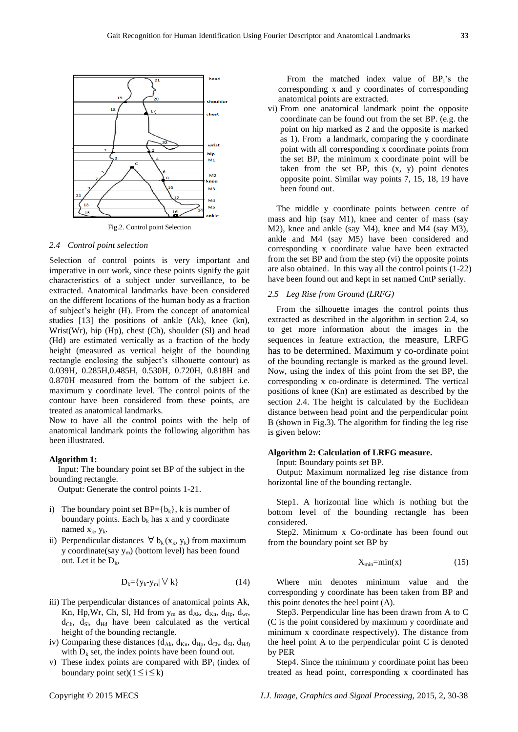

Fig.2. Control point Selection

## *2.4 Control point selection*

Selection of control points is very important and imperative in our work, since these points signify the gait characteristics of a subject under surveillance, to be extracted. Anatomical landmarks have been considered on the different locations of the human body as a fraction of subject's height (H). From the concept of anatomical studies [13] the positions of ankle (Ak), knee (kn), Wrist(Wr), hip (Hp), chest (Ch), shoulder (Sl) and head (Hd) are estimated vertically as a fraction of the body height (measured as vertical height of the bounding rectangle enclosing the subject's silhouette contour) as 0.039H, 0.285H,0.485H, 0.530H, 0.720H, 0.818H and 0.870H measured from the bottom of the subject i.e. maximum y coordinate level. The control points of the contour have been considered from these points, are treated as anatomical landmarks.

Now to have all the control points with the help of anatomical landmark points the following algorithm has been illustrated.

## **Algorithm 1:**

Input: The boundary point set BP of the subject in the bounding rectangle.

Output: Generate the control points 1-21.

- i) The boundary point set  $BP = \{b_k\}$ , k is number of boundary points. Each  $b_k$  has x and y coordinate named  $x_k$ ,  $y_k$ .
- ii) Perpendicular distances  $\forall b_k(x_k, y_k)$  from maximum y coordinate(say  $y_m$ ) (bottom level) has been found out. Let it be  $D_k$ ,

$$
D_k = \{ y_k - y_m | \forall k \} \tag{14}
$$

- iii) The perpendicular distances of anatomical points Ak, Kn, Hp, Wr, Ch, Sl, Hd from  $y_m$  as  $d_{Ak}$ ,  $d_{Kn}$ ,  $d_{Hp}$ ,  $d_{wr}$ ,  $d_{Ch}$ ,  $d_{Sl}$ ,  $d_{Hd}$  have been calculated as the vertical height of the bounding rectangle.
- iv) Comparing these distances  $(d_{Ak}, d_{Kn}, d_{Hp}, d_{Ch}, d_{Sl}, d_{Hd})$ with  $D_k$  set, the index points have been found out.
- v) These index points are compared with  $BP_i$  (index of boundary point set) $(1 \le i \le k)$

vi) From one anatomical landmark point the opposite coordinate can be found out from the set BP. (e.g. the point on hip marked as 2 and the opposite is marked as 1). From a landmark, comparing the y coordinate point with all corresponding x coordinate points from the set BP, the minimum x coordinate point will be taken from the set BP, this  $(x, y)$  point denotes opposite point. Similar way points 7, 15, 18, 19 have been found out.

The middle y coordinate points between centre of mass and hip (say M1), knee and center of mass (say M2), knee and ankle (say M4), knee and M4 (say M3), ankle and M4 (say M5) have been considered and corresponding x coordinate value have been extracted from the set BP and from the step (vi) the opposite points are also obtained. In this way all the control points (1-22) have been found out and kept in set named CntP serially.

#### *2.5 Leg Rise from Ground (LRFG)*

From the silhouette images the control points thus extracted as described in the algorithm in section 2.4, so to get more information about the images in the sequences in feature extraction, the measure, LRFG has to be determined. Maximum y co-ordinate point of the bounding rectangle is marked as the ground level. Now, using the index of this point from the set BP, the corresponding x co-ordinate is determined. The vertical positions of knee (Kn) are estimated as described by the section 2.4. The height is calculated by the Euclidean distance between head point and the perpendicular point B (shown in Fig.3). The algorithm for finding the leg rise is given below:

## **Algorithm 2: Calculation of LRFG measure.**

Input: Boundary points set BP.

Output: Maximum normalized leg rise distance from horizontal line of the bounding rectangle.

Step1. A horizontal line which is nothing but the bottom level of the bounding rectangle has been considered.

Step2. Minimum x Co-ordinate has been found out from the boundary point set BP by

$$
X_{\min} = \min(x) \tag{15}
$$

Where min denotes minimum value and the corresponding y coordinate has been taken from BP and this point denotes the heel point (A).

Step3. Perpendicular line has been drawn from A to C (C is the point considered by maximum y coordinate and minimum x coordinate respectively). The distance from the heel point A to the perpendicular point C is denoted by PER

Step4. Since the minimum y coordinate point has been treated as head point, corresponding x coordinated has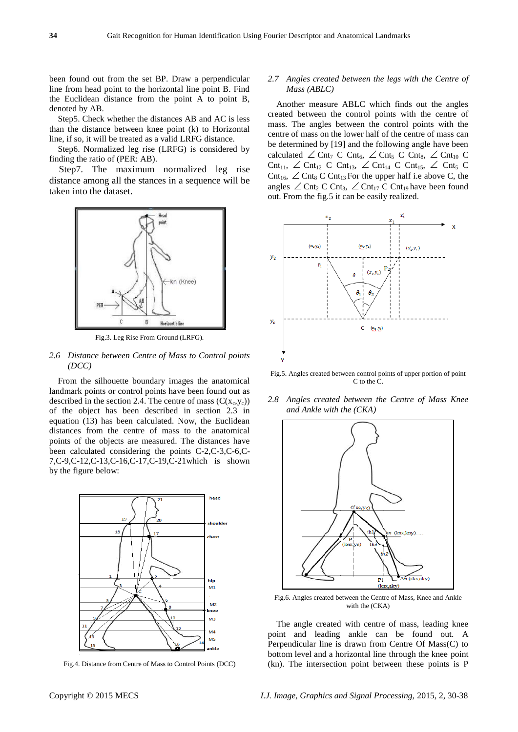been found out from the set BP. Draw a perpendicular line from head point to the horizontal line point B. Find the Euclidean distance from the point A to point B, denoted by AB.

Step5. Check whether the distances AB and AC is less than the distance between knee point (k) to Horizontal line, if so, it will be treated as a valid LRFG distance.

Step6. Normalized leg rise (LRFG) is considered by finding the ratio of (PER: AB).

Step7. The maximum normalized leg rise distance among all the stances in a sequence will be taken into the dataset.



Fig.3. Leg Rise From Ground (LRFG).

## *2.6 Distance between Centre of Mass to Control points (DCC)*

From the silhouette boundary images the anatomical landmark points or control points have been found out as described in the section 2.4. The centre of mass  $(C(x_c, y_c))$ of the object has been described in section 2.3 in equation (13) has been calculated. Now, the Euclidean distances from the centre of mass to the anatomical points of the objects are measured. The distances have been calculated considering the points C-2,C-3,C-6,C-7,C-9,C-12,C-13,C-16,C-17,C-19,C-21which is shown by the figure below:



Fig.4. Distance from Centre of Mass to Control Points (DCC)

## *2.7 Angles created between the legs with the Centre of Mass (ABLC)*

Another measure ABLC which finds out the angles created between the control points with the centre of mass. The angles between the control points with the centre of mass on the lower half of the centre of mass can be determined by [19] and the following angle have been calculated  $\angle$  Cnt<sub>7</sub> C Cnt<sub>6</sub>,  $\angle$  Cnt<sub>5</sub> C Cnt<sub>8</sub>,  $\angle$  Cnt<sub>10</sub> C Cnt<sub>11</sub>,  $\angle$  Cnt<sub>12</sub> C Cnt<sub>13</sub>,  $\angle$  Cnt<sub>14</sub> C Cnt<sub>15</sub>,  $\angle$  Cnt<sub>5</sub> C Cnt<sub>16</sub>,  $\angle$  Cnt<sub>8</sub> C Cnt<sub>13</sub> For the upper half i.e above C, the angles  $\angle$  Cnt<sub>2</sub> C Cnt<sub>3</sub>,  $\angle$  Cnt<sub>17</sub> C Cnt<sub>19</sub> have been found out. From the fig.5 it can be easily realized.



Fig.5. Angles created between control points of upper portion of point C to the C.

*2.8 Angles created between the Centre of Mass Knee and Ankle with the (CKA)*



Fig.6. Angles created between the Centre of Mass, Knee and Ankle with the (CKA)

The angle created with centre of mass, leading knee point and leading ankle can be found out. A Perpendicular line is drawn from Centre Of Mass(C) to bottom level and a horizontal line through the knee point (kn). The intersection point between these points is P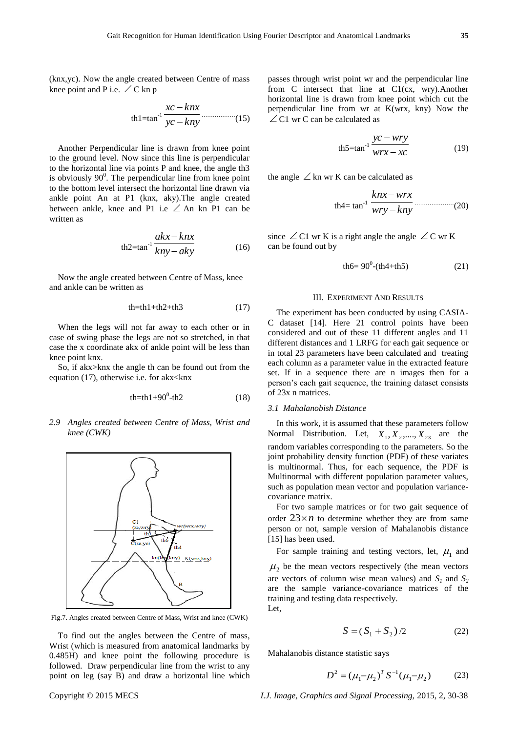(knx,yc). Now the angle created between Centre of mass knee point and P i.e.  $\angle C$  kn p

$$
th1 = \tan^{-1} \frac{xc - knx}{yc - kny}
$$
 (15)

Another Perpendicular line is drawn from knee point to the ground level. Now since this line is perpendicular to the horizontal line via points P and knee, the angle th3 is obviously  $90^\circ$ . The perpendicular line from knee point to the bottom level intersect the horizontal line drawn via ankle point An at P1 (knx, aky).The angle created between ankle, knee and P1 i.e  $\angle$  An kn P1 can be written as

$$
th2 = \tan^{-1} \frac{akx - knx}{kny - aky}
$$
 (16)

Now the angle created between Centre of Mass, knee and ankle can be written as

$$
th = th1 + th2 + th3 \tag{17}
$$

When the legs will not far away to each other or in case of swing phase the legs are not so stretched, in that case the x coordinate akx of ankle point will be less than knee point knx.

So, if akx>knx the angle th can be found out from the equation (17), otherwise i.e. for akx<knx

$$
th=th1+90^0-th2\tag{18}
$$

*2.9 Angles created between Centre of Mass, Wrist and knee (CWK)*



Fig.7. Angles created between Centre of Mass, Wrist and knee (CWK)

To find out the angles between the Centre of mass, Wrist (which is measured from anatomical landmarks by 0.485H) and knee point the following procedure is followed. Draw perpendicular line from the wrist to any point on leg (say B) and draw a horizontal line which passes through wrist point wr and the perpendicular line from C intersect that line at C1(cx, wry).Another horizontal line is drawn from knee point which cut the perpendicular line from wr at K(wrx, kny) Now the  $\angle$  C1 wr C can be calculated as

$$
th5 = \tan^{-1} \frac{yc - wry}{wrx - xc}
$$
 (19)

the angle  $\angle$  kn wr K can be calculated as

$$
th4 = \tan^{-1} \frac{knx - wrx}{wry - kny}
$$
 (20)

since  $\angle$  C1 wr K is a right angle the angle  $\angle$  C wr K can be found out by

$$
th6 = 90^0 - (th4 + th5)
$$
 (21)

#### III. EXPERIMENT AND RESULTS

The experiment has been conducted by using CASIA-C dataset [14]. Here 21 control points have been considered and out of these 11 different angles and 11 different distances and 1 LRFG for each gait sequence or in total 23 parameters have been calculated and treating each column as a parameter value in the extracted feature set. If in a sequence there are n images then for a person's each gait sequence, the training dataset consists of 23x n matrices.

#### *3.1 Mahalanobish Distance*

In this work, it is assumed that these parameters follow Normal Distribution. Let,  $X_1, X_2, \ldots, X_{23}$  are the random variables corresponding to the parameters. So the joint probability density function (PDF) of these variates is multinormal. Thus, for each sequence, the PDF is Multinormal with different population parameter values, such as population mean vector and population variancecovariance matrix.

For two sample matrices or for two gait sequence of order  $23 \times n$  to determine whether they are from same person or not, sample version of Mahalanobis distance [15] has been used.

For sample training and testing vectors, let,  $\mu_1$  and

 $\mu_2$  be the mean vectors respectively (the mean vectors are vectors of column wise mean values) and  $S_1$  and  $S_2$ are the sample variance-covariance matrices of the training and testing data respectively. Let,

$$
S = (S_1 + S_2) / 2 \tag{22}
$$

Mahalanobis distance statistic says

$$
D^{2} = (\mu_{1} - \mu_{2})^{T} S^{-1} (\mu_{1} - \mu_{2})
$$
 (23)

Copyright © 2015 MECS *I.J. Image, Graphics and Signal Processing,* 2015, 2, 30-38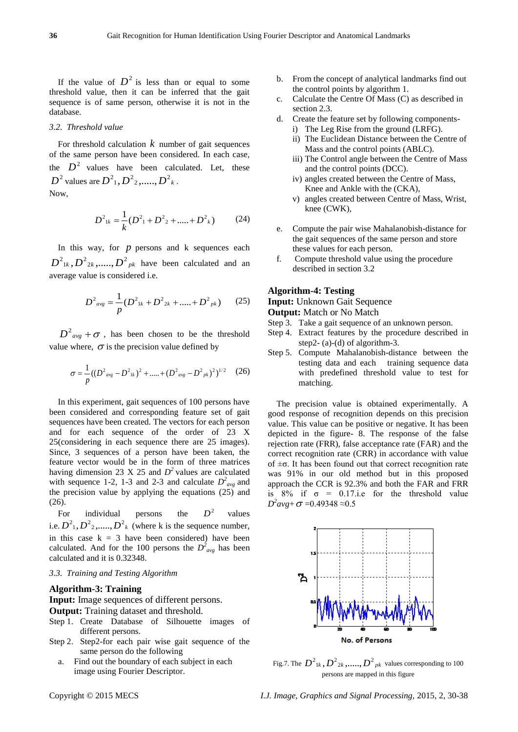If the value of  $D^2$  is less than or equal to some threshold value, then it can be inferred that the gait sequence is of same person, otherwise it is not in the database.

# *3.2. Threshold value*

For threshold calculation *k* number of gait sequences of the same person have been considered. In each case, the  $D^2$  values have been calculated. Let, these  $D^2$  values are  $D^2_1, D^2_2, \dots, D^2_k$ . Now,

$$
D_{1k}^{2} = \frac{1}{k}(D_{1}^{2} + D_{2}^{2} + \dots + D_{k}^{2})
$$
 (24)

In this way, for  $p$  persons and  $k$  sequences each  $D^2_{1k}$ ,  $D^2_{2k}$ ,.....,  $D^2_{pk}$  have been calculated and an average value is considered i.e.

$$
D^{2}_{avg} = \frac{1}{p}(D^{2}_{1k} + D^{2}_{2k} + \dots + D^{2}_{pk})
$$
 (25)

 $D^2_{avg} + \sigma$ , has been chosen to be the threshold value where,  $\sigma$  is the precision value defined by

$$
\sigma = \frac{1}{p}((D_{avg}^2 - D_{1k}^2)^2 + \dots + (D_{avg}^2 - D_{pk}^2)^2)^{1/2}
$$
 (26)

In this experiment, gait sequences of 100 persons have been considered and corresponding feature set of gait sequences have been created. The vectors for each person and for each sequence of the order of 23 X 25(considering in each sequence there are 25 images). Since, 3 sequences of a person have been taken, the feature vector would be in the form of three matrices having dimension 23 X 25 and  $D^2$  values are calculated with sequence 1-2, 1-3 and 2-3 and calculate  $D^2_{avg}$  and the precision value by applying the equations  $(25)$  and (26).

For individual persons the  $D^2$ values i.e.  $D^2_1, D^2_2, \ldots, D^2_k$  (where k is the sequence number, in this case  $k = 3$  have been considered) have been calculated. And for the 100 persons the  $D^2_{avg}$  has been calculated and it is 0.32348.

# *3.3. Training and Testing Algorithm*

## **Algorithm-3: Training**

**Input:** Image sequences of different persons.

**Output:** Training dataset and threshold.

- Step 1. Create Database of Silhouette images of different persons.
- Step 2. Step2-for each pair wise gait sequence of the same person do the following
	- a. Find out the boundary of each subject in each image using Fourier Descriptor.
- b. From the concept of analytical landmarks find out the control points by algorithm 1.
- c. Calculate the Centre Of Mass (C) as described in section 2.3.
- d. Create the feature set by following componentsi) The Leg Rise from the ground (LRFG).
	- ii) The Euclidean Distance between the Centre of Mass and the control points (ABLC).
	- iii) The Control angle between the Centre of Mass and the control points (DCC).
	- iv) angles created between the Centre of Mass, Knee and Ankle with the (CKA),
	- v) angles created between Centre of Mass, Wrist, knee (CWK),
- e. Compute the pair wise Mahalanobish-distance for the gait sequences of the same person and store these values for each person.
- f. Compute threshold value using the procedure described in section 3.2

# **Algorithm-4: Testing**

**Input:** Unknown Gait Sequence

# **Output:** Match or No Match

- Step 3. Take a gait sequence of an unknown person.
- Step 4. Extract features by the procedure described in step2- (a)-(d) of algorithm-3.
- Step 5. Compute Mahalanobish-distance between the testing data and each training sequence data with predefined threshold value to test for matching.

The precision value is obtained experimentally. A good response of recognition depends on this precision value. This value can be positive or negative. It has been depicted in the figure- 8. The response of the false rejection rate (FRR), false acceptance rate (FAR) and the correct recognition rate (CRR) in accordance with value of ±σ. It has been found out that correct recognition rate was 91% in our old method but in this proposed approach the CCR is 92.3% and both the FAR and FRR is  $8\%$  if  $\sigma = 0.17$ .i.e for the threshold value  $D^2$ *avg* +  $\sigma$  =0.49348 ≈0.5



Fig.7. The  $D^2_{\ 1k}, D^2_{\ 2k}, \ldots, D^2_{\ pk}$  values corresponding to 100 persons are mapped in this figure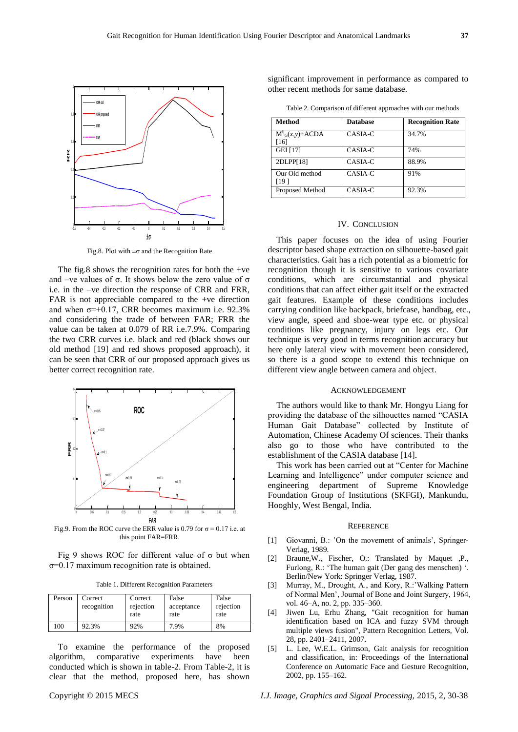

Fig.8. Plot with  $\pm \sigma$  and the Recognition Rate

The fig.8 shows the recognition rates for both the +ve and –ve values of σ. It shows below the zero value of σ i.e. in the –ve direction the response of CRR and FRR, FAR is not appreciable compared to the +ve direction and when  $\sigma=+0.17$ , CRR becomes maximum i.e. 92.3% and considering the trade of between FAR; FRR the value can be taken at 0.079 of RR i.e.7.9%. Comparing the two CRR curves i.e. black and red (black shows our old method [19] and red shows proposed approach), it can be seen that CRR of our proposed approach gives us better correct recognition rate.



Fig.9. From the ROC curve the ERR value is 0.79 for  $\sigma = 0.17$  i.e. at this point FAR=FRR.

Fig 9 shows ROC for different value of  $\sigma$  but when σ=0.17 maximum recognition rate is obtained.

|  |  | Table 1. Different Recognition Parameters |  |
|--|--|-------------------------------------------|--|
|--|--|-------------------------------------------|--|

| Person | Correct<br>recognition | Correct<br>rejection<br>rate | False<br>acceptance<br>rate | False<br>rejection<br>rate |
|--------|------------------------|------------------------------|-----------------------------|----------------------------|
| 00     | 92.3%                  | 92%                          | 7.9%                        | 8%                         |

To examine the performance of the proposed algorithm, comparative experiments have been conducted which is shown in table-2. From Table-2, it is clear that the method, proposed here, has shown significant improvement in performance as compared to other recent methods for same database.

Table 2. Comparison of different approaches with our methods

| <b>Method</b>                       | <b>Database</b> | <b>Recognition Rate</b> |
|-------------------------------------|-----------------|-------------------------|
| $M^{ij}{}_{G}(x, y) + ACDA$<br>[16] | CASIA-C         | 34.7%                   |
| <b>GEI</b> [17]                     | CASIA-C         | 74%                     |
| 2DLPP[18]                           | CASIA-C         | 88.9%                   |
| Our Old method<br>[19]              | CASIA-C         | 91%                     |
| Proposed Method                     | CASIA-C         | 92.3%                   |

## IV. CONCLUSION

This paper focuses on the idea of using Fourier descriptor based shape extraction on silhouette-based gait characteristics. Gait has a rich potential as a biometric for recognition though it is sensitive to various covariate conditions, which are circumstantial and physical conditions that can affect either gait itself or the extracted gait features. Example of these conditions includes carrying condition like backpack, briefcase, handbag, etc., view angle, speed and shoe-wear type etc. or physical conditions like pregnancy, injury on legs etc. Our technique is very good in terms recognition accuracy but here only lateral view with movement been considered, so there is a good scope to extend this technique on different view angle between camera and object.

### ACKNOWLEDGEMENT

The authors would like to thank Mr. Hongyu Liang for providing the database of the silhouettes named "CASIA Human Gait Database" collected by Institute of Automation, Chinese Academy Of sciences. Their thanks also go to those who have contributed to the establishment of the CASIA database [14].

This work has been carried out at "Center for Machine" Learning and Intelligence" under computer science and engineering department of Supreme Knowledge Foundation Group of Institutions (SKFGI), Mankundu, Hooghly, West Bengal, India.

#### **REFERENCE**

- [1] Giovanni, B.: 'On the movement of animals', Springer-Verlag, 1989.
- [2] Braune,W., Fischer, O.: Translated by Maquet ,P., Furlong, R.: 'The human gait (Der gang des menschen) '. Berlin/New York: Springer Verlag, 1987.
- [3] Murray, M., Drought, A., and Kory, R.:'Walking Pattern of Normal Men', Journal of Bone and Joint Surgery, 1964, vol. 46–A, no. 2, pp. 335–360.
- [4] Jiwen Lu, Erhu Zhang, "Gait recognition for human identification based on ICA and fuzzy SVM through multiple views fusion", Pattern Recognition Letters, Vol. 28, pp. 2401–2411, 2007.
- [5] L. Lee, W.E.L. Grimson, Gait analysis for recognition and classification, in: Proceedings of the International Conference on Automatic Face and Gesture Recognition, 2002, pp. 155–162.